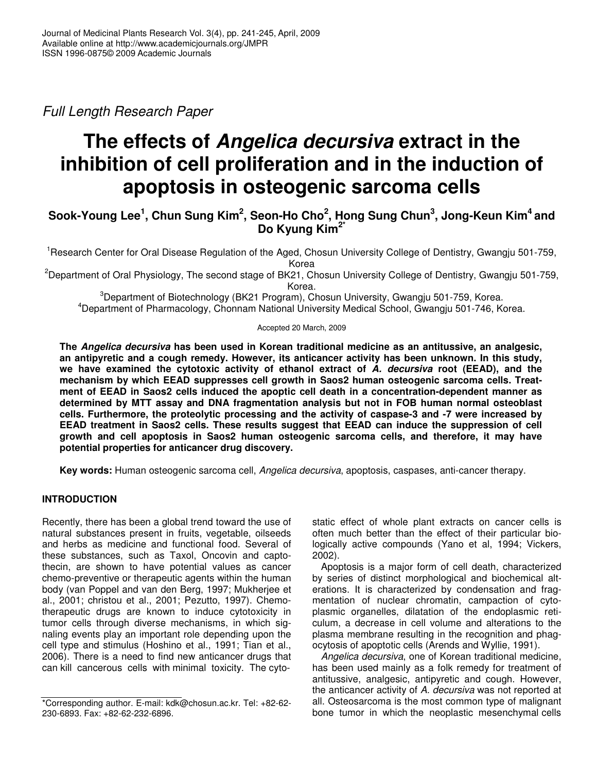*Full Length Research Paper*

# **The effects of** *Angelica decursiva* **extract in the inhibition of cell proliferation and in the induction of apoptosis in osteogenic sarcoma cells**

## Sook-Young Lee $^1$ , Chun Sung Kim $^2$ , Seon-Ho Cho $^2$ , Hong Sung Chun $^3$ , Jong-Keun Kim $^4$  and **Do Kyung Kim 2\***

<sup>1</sup>Research Center for Oral Disease Regulation of the Aged, Chosun University College of Dentistry, Gwangju 501-759, Korea

<sup>2</sup>Department of Oral Physiology, The second stage of BK21, Chosun University College of Dentistry, Gwangju 501-759, Korea.

<sup>3</sup>Department of Biotechnology (BK21 Program), Chosun University, Gwangju 501-759, Korea. <sup>4</sup>Department of Pharmacology, Chonnam National University Medical School, Gwangju 501-746, Korea.

#### Accepted 20 March, 2009

**The** *Angelica decursiva* **has been used in Korean traditional medicine as an antitussive, an analgesic, an antipyretic and a cough remedy. However, its anticancer activity has been unknown. In this study, we have examined the cytotoxic activity of ethanol extract of** *A. decursiva* **root (EEAD), and the mechanism by which EEAD suppresses cell growth in Saos2 human osteogenic sarcoma cells. Treatment of EEAD in Saos2 cells induced the apoptic cell death in a concentration-dependent manner as determined by MTT assay and DNA fragmentation analysis but not in FOB human normal osteoblast cells. Furthermore, the proteolytic processing and the activity of caspase-3 and -7 were increased by EEAD treatment in Saos2 cells. These results suggest that EEAD can induce the suppression of cell growth and cell apoptosis in Saos2 human osteogenic sarcoma cells, and therefore, it may have potential properties for anticancer drug discovery.**

**Key words:** Human osteogenic sarcoma cell, *Angelica decursiva*, apoptosis, caspases, anti-cancer therapy.

#### **INTRODUCTION**

Recently, there has been a global trend toward the use of natural substances present in fruits, vegetable, oilseeds and herbs as medicine and functional food. Several of these substances, such as Taxol, Oncovin and captothecin, are shown to have potential values as cancer chemo-preventive or therapeutic agents within the human body (van Poppel and van den Berg, 1997; Mukherjee et al., 2001; christou et al., 2001; Pezutto, 1997). Chemotherapeutic drugs are known to induce cytotoxicity in tumor cells through diverse mechanisms, in which signaling events play an important role depending upon the cell type and stimulus (Hoshino et al., 1991; Tian et al., 2006). There is a need to find new anticancer drugs that can kill cancerous cells with minimal toxicity. The cytostatic effect of whole plant extracts on cancer cells is often much better than the effect of their particular biologically active compounds (Yano et al, 1994; Vickers, 2002).

Apoptosis is a major form of cell death, characterized by series of distinct morphological and biochemical alterations. It is characterized by condensation and fragmentation of nuclear chromatin, campaction of cytoplasmic organelles, dilatation of the endoplasmic reticulum, a decrease in cell volume and alterations to the plasma membrane resulting in the recognition and phagocytosis of apoptotic cells (Arends and Wyllie, 1991).

*Angelica decursiva*, one of Korean traditional medicine, has been used mainly as a folk remedy for treatment of antitussive, analgesic, antipyretic and cough. However, the anticancer activity of *A. decursiva* was not reported at all. Osteosarcoma is the most common type of malignant bone tumor in which the neoplastic mesenchymal cells

<sup>\*</sup>Corresponding author. E-mail: kdk@chosun.ac.kr. Tel: +82-62- 230-6893. Fax: +82-62-232-6896.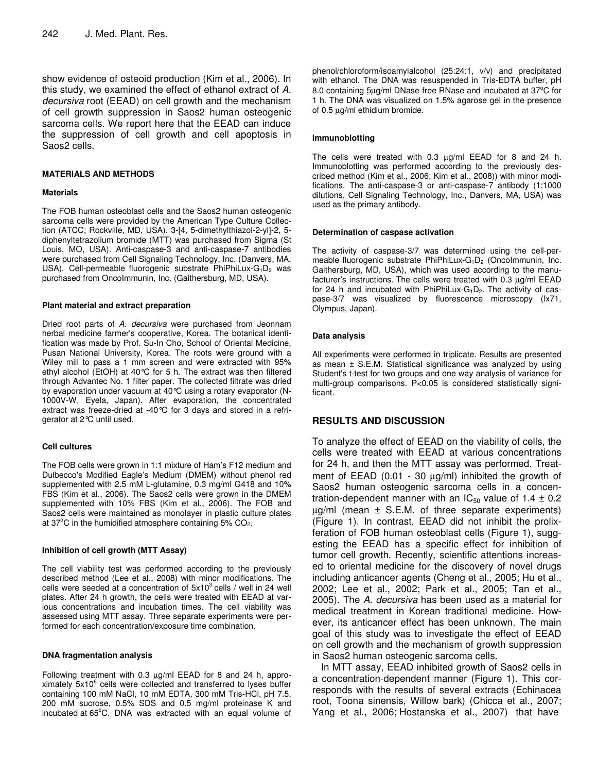show evidence of osteoid production (Kim et al., 2006). In this study, we examined the effect of ethanol extract of *A. decursiva* root (EEAD) on cell growth and the mechanism of cell growth suppression in Saos2 human osteogenic sarcoma cells. We report here that the EEAD can induce the suppression of cell growth and cell apoptosis in Saos2 cells.

#### **MATERIALS AND METHODS**

#### **Materials**

The FOB human osteoblast cells and the Saos2 human osteogenic sarcoma cells were provided by the American Type Culture Collection (ATCC; Rockville, MD, USA). 3-[4, 5-dimethylthiazol-2-yl]-2, 5 diphenyltetrazolium bromide (MTT) was purchased from Sigma (St Louis, MO, USA). Anti-caspase-3 and anti-caspase-7 antibodies were purchased from Cell Signaling Technology, Inc. (Danvers, MA, USA). Cell-permeable fluorogenic substrate PhiPhiLux-G<sub>1</sub>D<sub>2</sub> was purchased from OncoImmunin, Inc. (Gaithersburg, MD, USA).

#### **Plant material and extract preparation**

Dried root parts of *A. decursiva* were purchased from Jeonnam herbal medicine farmer's cooperative, Korea. The botanical identification was made by Prof. Su-In Cho, School of Oriental Medicine, Pusan National University, Korea. The roots were ground with a Wiley mill to pass a 1 mm screen and were extracted with 95% ethyl alcohol (EtOH) at 40°C for 5 h. The extract was then filtered through Advantec No. 1 filter paper. The collected filtrate was dried by evaporation under vacuum at 40°C using a rotary evaporator (N-1000V-W, Eyela, Japan). After evaporation, the concentrated extract was freeze-dried at -40°C for 3 days and stored in a refrigerator at 2°C until used.

#### **Cell cultures**

The FOB cells were grown in 1:1 mixture of Ham's F12 medium and Dulbecco's Modified Eagle's Medium (DMEM) without phenol red supplemented with 2.5 mM L-glutamine, 0.3 mg/ml G418 and 10% FBS (Kim et al., 2006). The Saos2 cells were grown in the DMEM supplemented with 10% FBS (Kim et al., 2006). The FOB and Saos2 cells were maintained as monolayer in plastic culture plates at 37 $^{\circ}$ C in the humidified atmosphere containing 5% CO<sub>2</sub>.

#### **Inhibition of cell growth (MTT Assay)**

The cell viability test was performed according to the previously described method (Lee et al., 2008) with minor modifications. The cells were seeded at a concentration of  $5x10^3$  cells / well in 24 well plates. After 24 h growth, the cells were treated with EEAD at various concentrations and incubation times. The cell viability was assessed using MTT assay. Three separate experiments were performed for each concentration/exposure time combination.

#### **DNA fragmentation analysis**

Following treatment with 0.3 µg/ml EEAD for 8 and 24 h, approximately 5x10 6 cells were collected and transferred to lyses buffer containing 100 mM NaCl, 10 mM EDTA, 300 mM Tris-HCl, pH 7.5, 200 mM sucrose, 0.5% SDS and 0.5 mg/ml proteinase K and incubated at 65°C. DNA was extracted with an equal volume of

phenol/chloroform/isoamylalcohol (25:24:1, v/v) and precipitated with ethanol. The DNA was resuspended in Tris-EDTA buffer, pH 8.0 containing 5µg/ml DNase-free RNase and incubated at 37°C for 1 h. The DNA was visualized on 1.5% agarose gel in the presence of 0.5 µg/ml ethidium bromide.

#### **Immunoblotting**

The cells were treated with 0.3 µg/ml EEAD for 8 and 24 h. Immunoblotting was performed according to the previously described method (Kim et al., 2006; Kim et al., 2008)) with minor modifications. The anti-caspase-3 or anti-caspase-7 antibody (1:1000 dilutions, Cell Signaling Technology, Inc., Danvers, MA, USA) was used as the primary antibody.

#### **Determination of caspase activation**

The activity of caspase-3/7 was determined using the cell-permeable fluorogenic substrate PhiPhiLux- $G_1D_2$  (Oncolmmunin, Inc. Gaithersburg, MD, USA), which was used according to the manufacturer's instructions. The cells were treated with 0.3 µg/ml EEAD for 24 h and incubated with PhiPhiLux- $G_1D_2$ . The activity of caspase-3/7 was visualized by fluorescence microscopy (Ix71, Olympus, Japan).

#### **Data analysis**

All experiments were performed in triplicate. Results are presented as mean ± S.E.M. Statistical significance was analyzed by using Student's t-test for two groups and one way analysis of variance for multi-group comparisons. P<0.05 is considered statistically significant.

#### **RESULTS AND DISCUSSION**

To analyze the effect of EEAD on the viability of cells, the cells were treated with EEAD at various concentrations for 24 h, and then the MTT assay was performed. Treatment of  $EEAD$  (0.01 - 30  $\mu g/ml$ ) inhibited the growth of Saos2 human osteogenic sarcoma cells in a concentration-dependent manner with an  $IC_{50}$  value of 1.4  $\pm$  0.2  $\mu$ g/ml (mean  $\pm$  S.E.M. of three separate experiments) (Figure 1). In contrast, EEAD did not inhibit the prolixferation of FOB human osteoblast cells (Figure 1), suggesting the EEAD has a specific effect for inhibition of tumor cell growth. Recently, scientific attentions increased to oriental medicine for the discovery of novel drugs including anticancer agents (Cheng et al., 2005; Hu et al., 2002; Lee et al., 2002; Park et al., 2005; Tan et al., 2005). The *A. decursiva* has been used as a material for medical treatment in Korean traditional medicine. However, its anticancer effect has been unknown. The main goal of this study was to investigate the effect of EEAD on cell growth and the mechanism of growth suppression in Saos2 human osteogenic sarcoma cells.

In MTT assay, EEAD inhibited growth of Saos2 cells in a concentration-dependent manner (Figure 1). This corresponds with the results of several extracts (Echinacea root, Toona sinensis, Willow bark) (Chicca et al., 2007; Yang et al., 2006; Hostanska et al., 2007) that have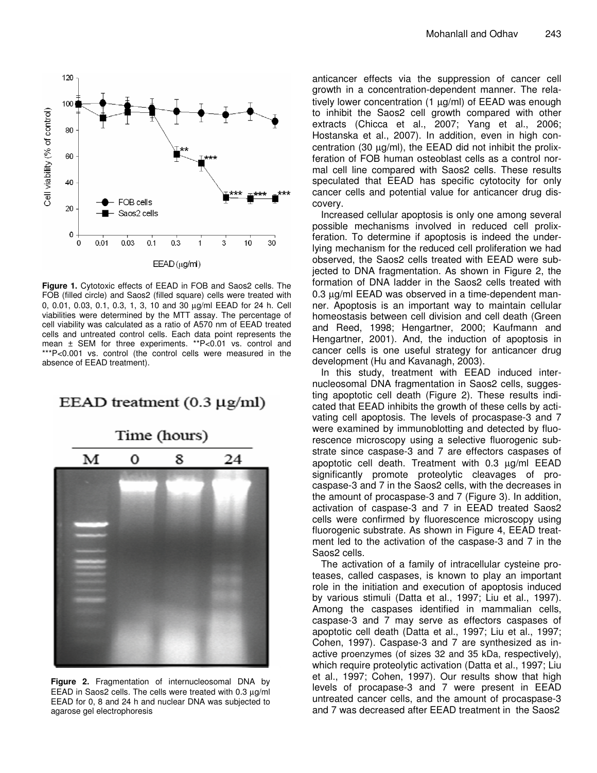

**Figure 1.** Cytotoxic effects of EEAD in FOB and Saos2 cells. The FOB (filled circle) and Saos2 (filled square) cells were treated with 0, 0.01, 0.03, 0.1, 0.3, 1, 3, 10 and 30 µg/ml EEAD for 24 h. Cell viabilities were determined by the MTT assay. The percentage of cell viability was calculated as a ratio of A570 nm of EEAD treated cells and untreated control cells. Each data point represents the mean ± SEM for three experiments. \*\*P<0.01 vs. control and \*\*\*P<0.001 vs. control (the control cells were measured in the absence of EEAD treatment).

## EEAD treatment  $(0.3 \mu g/ml)$



**Figure 2.** Fragmentation of internucleosomal DNA by EEAD in Saos2 cells. The cells were treated with  $0.3 \mu g/ml$ EEAD for 0, 8 and 24 h and nuclear DNA was subjected to agarose gel electrophoresis

anticancer effects via the suppression of cancer cell growth in a concentration-dependent manner. The relatively lower concentration (1 μg/ml) of EEAD was enough to inhibit the Saos2 cell growth compared with other extracts (Chicca et al., 2007; Yang et al., 2006; Hostanska et al., 2007). In addition, even in high concentration (30  $\mu$ g/ml), the EEAD did not inhibit the prolixferation of FOB human osteoblast cells as a control normal cell line compared with Saos2 cells. These results speculated that EEAD has specific cytotocity for only cancer cells and potential value for anticancer drug discovery.

Increased cellular apoptosis is only one among several possible mechanisms involved in reduced cell prolixferation. To determine if apoptosis is indeed the underlying mechanism for the reduced cell proliferation we had observed, the Saos2 cells treated with EEAD were subjected to DNA fragmentation. As shown in Figure 2, the formation of DNA ladder in the Saos2 cells treated with 0.3 µg/ml EEAD was observed in a time-dependent manner. Apoptosis is an important way to maintain cellular homeostasis between cell division and cell death (Green and Reed, 1998; Hengartner, 2000; Kaufmann and Hengartner, 2001). And, the induction of apoptosis in cancer cells is one useful strategy for anticancer drug development (Hu and Kavanagh, 2003).

In this study, treatment with EEAD induced internucleosomal DNA fragmentation in Saos2 cells, suggesting apoptotic cell death (Figure 2). These results indicated that EEAD inhibits the growth of these cells by activating cell apoptosis. The levels of procaspase-3 and 7 were examined by immunoblotting and detected by fluorescence microscopy using a selective fluorogenic substrate since caspase-3 and 7 are effectors caspases of apoptotic cell death. Treatment with 0.3 µg/ml EEAD significantly promote proteolytic cleavages of procaspase-3 and 7 in the Saos2 cells, with the decreases in the amount of procaspase-3 and 7 (Figure 3). In addition, activation of caspase-3 and 7 in EEAD treated Saos2 cells were confirmed by fluorescence microscopy using fluorogenic substrate. As shown in Figure 4, EEAD treatment led to the activation of the caspase-3 and 7 in the Saos2 cells.

The activation of a family of intracellular cysteine proteases, called caspases, is known to play an important role in the initiation and execution of apoptosis induced by various stimuli (Datta et al., 1997; Liu et al., 1997). Among the caspases identified in mammalian cells, caspase-3 and 7 may serve as effectors caspases of apoptotic cell death (Datta et al., 1997; Liu et al., 1997; Cohen, 1997). Caspase-3 and 7 are synthesized as inactive proenzymes (of sizes 32 and 35 kDa, respectively), which require proteolytic activation (Datta et al., 1997; Liu et al., 1997; Cohen, 1997). Our results show that high levels of procapase-3 and 7 were present in EEAD untreated cancer cells, and the amount of procaspase-3 and 7 was decreased after EEAD treatment in the Saos2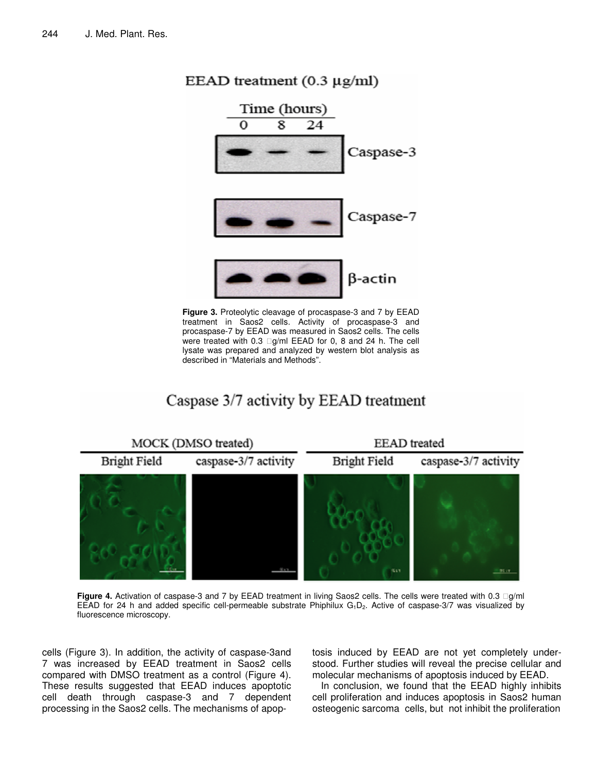

**Figure 3.** Proteolytic cleavage of procaspase-3 and 7 by EEAD treatment in Saos2 cells. Activity of procaspase-3 and procaspase-7 by EEAD was measured in Saos2 cells. The cells were treated with 0.3 g/ml EEAD for 0, 8 and 24 h. The cell lysate was prepared and analyzed by western blot analysis as described in "Materials and Methods".

## Caspase 3/7 activity by EEAD treatment



**Figure 4.** Activation of caspase-3 and 7 by EEAD treatment in living Saos2 cells. The cells were treated with 0.3 g/ml EEAD for 24 h and added specific cell-permeable substrate Phiphilux  $G_1D_2$ . Active of caspase-3/7 was visualized by fluorescence microscopy.

cells (Figure 3). In addition, the activity of caspase-3and 7 was increased by EEAD treatment in Saos2 cells compared with DMSO treatment as a control (Figure 4). These results suggested that EEAD induces apoptotic cell death through caspase-3 and 7 dependent processing in the Saos2 cells. The mechanisms of apop-

tosis induced by EEAD are not yet completely understood. Further studies will reveal the precise cellular and molecular mechanisms of apoptosis induced by EEAD.

In conclusion, we found that the EEAD highly inhibits cell proliferation and induces apoptosis in Saos2 human osteogenic sarcoma cells, but not inhibit the proliferation